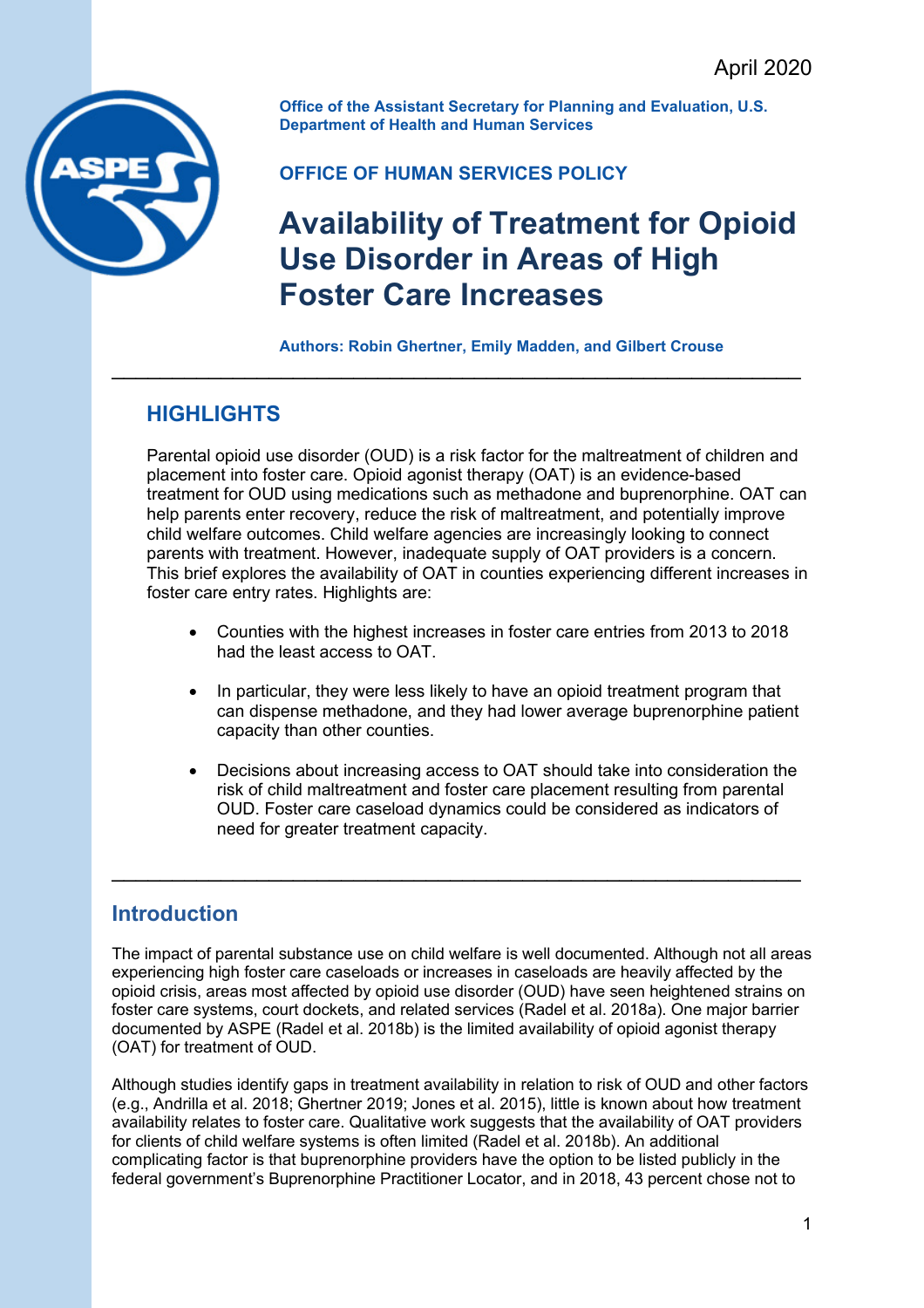

**Office of the Assistant Secretary for Planning and Evaluation, U.S. Department of Health and Human Services** 

### **OFFICE OF HUMAN SERVICES POLICY**

\_\_\_\_\_\_\_\_\_\_\_\_\_\_\_\_\_\_\_\_\_\_\_\_\_\_\_\_\_\_\_\_\_\_\_\_\_\_\_\_\_\_\_\_\_\_\_\_\_\_\_\_\_\_\_\_\_

# **Availability of Treatment for Opioid Use Disorder in Areas of High Foster Care Increases**

#### **Authors: Robin Ghertner, Emily Madden, and Gilbert Crouse**

### **HIGHLIGHTS**

Parental opioid use disorder (OUD) is a risk factor for the maltreatment of children and placement into foster care. Opioid agonist therapy (OAT) is an evidence-based treatment for OUD using medications such as methadone and buprenorphine. OAT can help parents enter recovery, reduce the risk of maltreatment, and potentially improve child welfare outcomes. Child welfare agencies are increasingly looking to connect parents with treatment. However, inadequate supply of OAT providers is a concern. This brief explores the availability of OAT in counties experiencing different increases in foster care entry rates. Highlights are:

- Counties with the highest increases in foster care entries from 2013 to 2018 had the least access to OAT.
- In particular, they were less likely to have an opioid treatment program that can dispense methadone, and they had lower average buprenorphine patient capacity than other counties.
- Decisions about increasing access to OAT should take into consideration the risk of child maltreatment and foster care placement resulting from parental OUD. Foster care caseload dynamics could be considered as indicators of need for greater treatment capacity.

### **Introduction**

The impact of parental substance use on child welfare is well documented. Although not all areas experiencing high foster care caseloads or increases in caseloads are heavily affected by the opioid crisis, areas most affected by opioid use disorder (OUD) have seen heightened strains on foster care systems, court dockets, and related services (Radel et al. 2018a). One major barrier documented by ASPE (Radel et al. 2018b) is the limited availability of opioid agonist therapy (OAT) for treatment of OUD.

\_\_\_\_\_\_\_\_\_\_\_\_\_\_\_\_\_\_\_\_\_\_\_\_\_\_\_\_\_\_\_\_\_\_\_\_\_\_\_\_\_\_\_\_\_\_\_\_\_\_\_\_\_\_\_\_\_

Although studies identify gaps in treatment availability in relation to risk of OUD and other factors (e.g., Andrilla et al. 2018; Ghertner 2019; Jones et al. 2015), little is known about how treatment availability relates to foster care. Qualitative work suggests that the availability of OAT providers for clients of child welfare systems is often limited (Radel et al. 2018b). An additional complicating factor is that buprenorphine providers have the option to be listed publicly in the federal government's Buprenorphine Practitioner Locator, and in 2018, 43 percent chose not to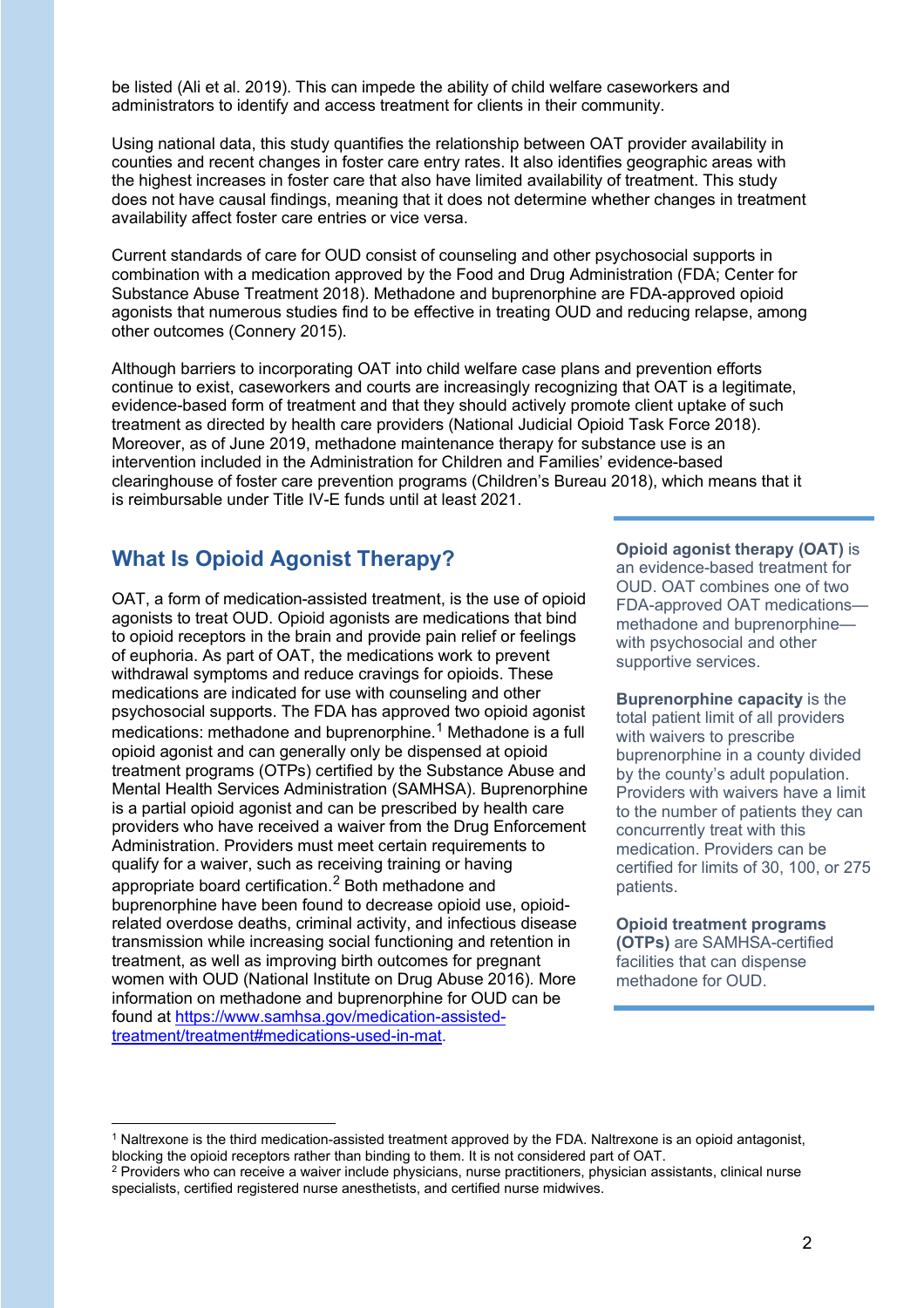be listed (Ali et al. 2019). This can impede the ability of child welfare caseworkers and administrators to identify and access treatment for clients in their community.

Using national data, this study quantifies the relationship between OAT provider availability in counties and recent changes in foster care entry rates. It also identifies geographic areas with the highest increases in foster care that also have limited availability of treatment. This study does not have causal findings, meaning that it does not determine whether changes in treatment availability affect foster care entries or vice versa.

Current standards of care for OUD consist of counseling and other psychosocial supports in combination with a medication approved by the Food and Drug Administration (FDA; Center for Substance Abuse Treatment 2018). Methadone and buprenorphine are FDA-approved opioid agonists that numerous studies find to be effective in treating OUD and reducing relapse, among other outcomes (Connery 2015).

Although barriers to incorporating OAT into child welfare case plans and prevention efforts continue to exist, caseworkers and courts are increasingly recognizing that OAT is a legitimate, evidence-based form of treatment and that they should actively promote client uptake of such treatment as directed by health care providers (National Judicial Opioid Task Force 2018). Moreover, as of June 2019, methadone maintenance therapy for substance use is an intervention included in the Administration for Children and Families' evidence-based clearinghouse of foster care prevention programs (Children's Bureau 2018), which means that it is reimbursable under Title IV-E funds until at least 2021.

## **What Is Opioid Agonist Therapy? Opioid agonist therapy (OAT) is Opioid agonist therapy (OAT)** is

OAT, a form of medication-assisted treatment, is the use of opioid agonists to treat OUD. Opioid agonists are medications that bind to opioid receptors in the brain and provide pain relief or feelings of euphoria. As part of OAT, the medications work to prevent withdrawal symptoms and reduce cravings for opioids. These medications are indicated for use with counseling and other psychosocial supports. The FDA has approved two opioid agonist medications: methadone and buprenorphine.<sup>[1](#page-1-0)</sup> Methadone is a full opioid agonist and can generally only be dispensed at opioid treatment programs (OTPs) certified by the Substance Abuse and Mental Health Services Administration (SAMHSA). Buprenorphine is a partial opioid agonist and can be prescribed by health care providers who have received a waiver from the Drug Enforcement Administration. Providers must meet certain requirements to qualify for a waiver, such as receiving training or having appropriate board certification. [2](#page-1-1) Both methadone and buprenorphine have been found to decrease opioid use, opioidrelated overdose deaths, criminal activity, and infectious disease transmission while increasing social functioning and retention in treatment, as well as improving birth outcomes for pregnant women with OUD (National Institute on Drug Abuse 2016)*.* More information on methadone and buprenorphine for OUD can be found at [https://www.samhsa.gov/medication-assisted](https://www.samhsa.gov/medication-assisted-treatment/treatment#medications-used-in-mat)[treatment/treatment#medications-used-in-mat.](https://www.samhsa.gov/medication-assisted-treatment/treatment#medications-used-in-mat)

an evidence-based treatment for OUD. OAT combines one of two FDA-approved OAT medications methadone and buprenorphine with psychosocial and other supportive services.

**Buprenorphine capacity** is the total patient limit of all providers with waivers to prescribe buprenorphine in a county divided by the county's adult population. Providers with waivers have a limit to the number of patients they can concurrently treat with this medication. Providers can be certified for limits of 30, 100, or 275 patients.

**Opioid treatment programs (OTPs)** are SAMHSA-certified facilities that can dispense methadone for OUD.

<span id="page-1-0"></span><sup>1</sup> Naltrexone is the third medication-assisted treatment approved by the FDA. Naltrexone is an opioid antagonist, blocking the opioid receptors rather than binding to them. It is not considered part of OAT.

<span id="page-1-1"></span><sup>&</sup>lt;sup>2</sup> Providers who can receive a waiver include physicians, nurse practitioners, physician assistants, clinical nurse specialists, certified registered nurse anesthetists, and certified nurse midwives.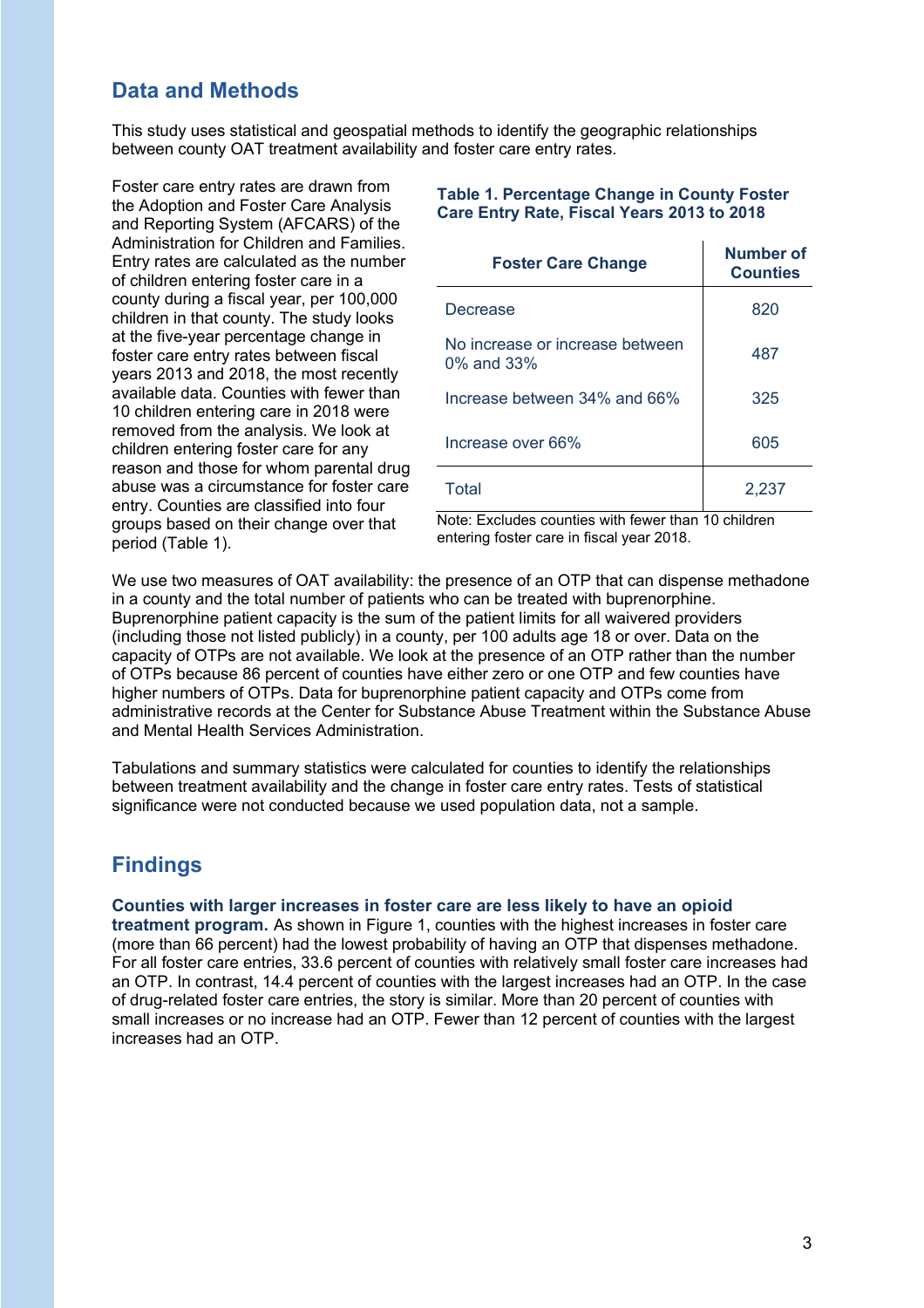### **Data and Methods**

This study uses statistical and geospatial methods to identify the geographic relationships between county OAT treatment availability and foster care entry rates.

Foster care entry rates are drawn from the Adoption and Foster Care Analysis and Reporting System (AFCARS) of the Administration for Children and Families. Entry rates are calculated as the number of children entering foster care in a county during a fiscal year, per 100,000 children in that county. The study looks at the five-year percentage change in foster care entry rates between fiscal years 2013 and 2018, the most recently available data. Counties with fewer than 10 children entering care in 2018 were removed from the analysis. We look at children entering foster care for any reason and those for whom parental drug abuse was a circumstance for foster care entry. Counties are classified into four groups based on their change over that period (Table 1).

#### **Table 1. Percentage Change in County Foster Care Entry Rate, Fiscal Years 2013 to 2018**

| <b>Foster Care Change</b>                           | <b>Number of</b><br><b>Counties</b> |
|-----------------------------------------------------|-------------------------------------|
| Decrease                                            | 820                                 |
| No increase or increase between<br>$0\%$ and $33\%$ | 487                                 |
| Increase between 34% and 66%                        | 325                                 |
| Increase over 66%                                   | 605                                 |
| Total                                               | 2,237                               |

Note: Excludes counties with fewer than 10 children entering foster care in fiscal year 2018.

We use two measures of OAT availability: the presence of an OTP that can dispense methadone in a county and the total number of patients who can be treated with buprenorphine. Buprenorphine patient capacity is the sum of the patient limits for all waivered providers (including those not listed publicly) in a county, per 100 adults age 18 or over. Data on the capacity of OTPs are not available. We look at the presence of an OTP rather than the number of OTPs because 86 percent of counties have either zero or one OTP and few counties have higher numbers of OTPs. Data for buprenorphine patient capacity and OTPs come from administrative records at the Center for Substance Abuse Treatment within the Substance Abuse and Mental Health Services Administration.

Tabulations and summary statistics were calculated for counties to identify the relationships between treatment availability and the change in foster care entry rates. Tests of statistical significance were not conducted because we used population data, not a sample.

### **Findings**

#### **Counties with larger increases in foster care are less likely to have an opioid**

**treatment program.** As shown in Figure 1, counties with the highest increases in foster care (more than 66 percent) had the lowest probability of having an OTP that dispenses methadone. For all foster care entries, 33.6 percent of counties with relatively small foster care increases had an OTP. In contrast, 14.4 percent of counties with the largest increases had an OTP. In the case of drug-related foster care entries, the story is similar. More than 20 percent of counties with small increases or no increase had an OTP. Fewer than 12 percent of counties with the largest increases had an OTP.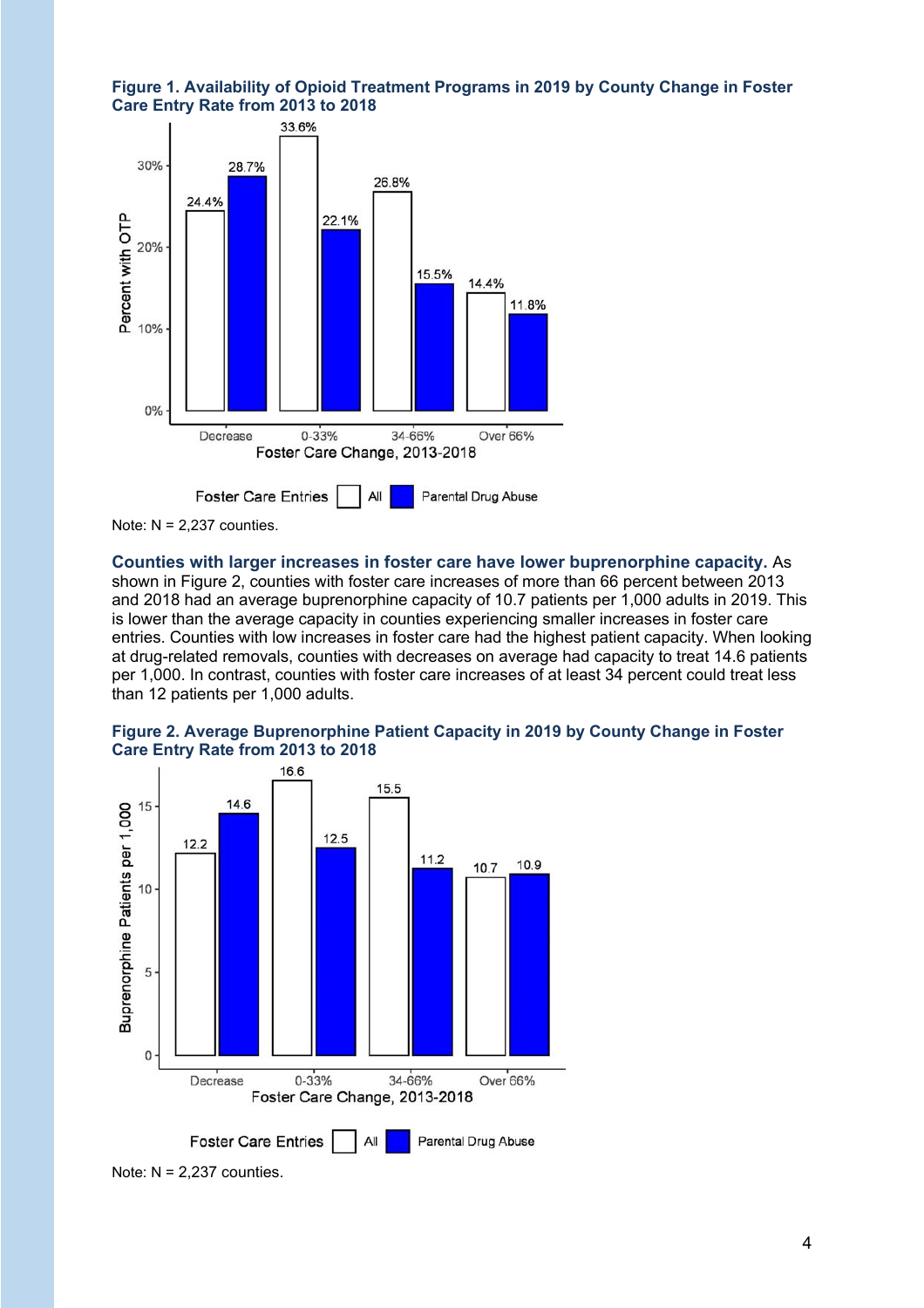



Note:  $N = 2,237$  counties.

**Counties with larger increases in foster care have lower buprenorphine capacity.** As shown in Figure 2, counties with foster care increases of more than 66 percent between 2013 and 2018 had an average buprenorphine capacity of 10.7 patients per 1,000 adults in 2019. This is lower than the average capacity in counties experiencing smaller increases in foster care entries. Counties with low increases in foster care had the highest patient capacity. When looking at drug-related removals, counties with decreases on average had capacity to treat 14.6 patients per 1,000. In contrast, counties with foster care increases of at least 34 percent could treat less than 12 patients per 1,000 adults.





Note:  $N = 2,237$  counties.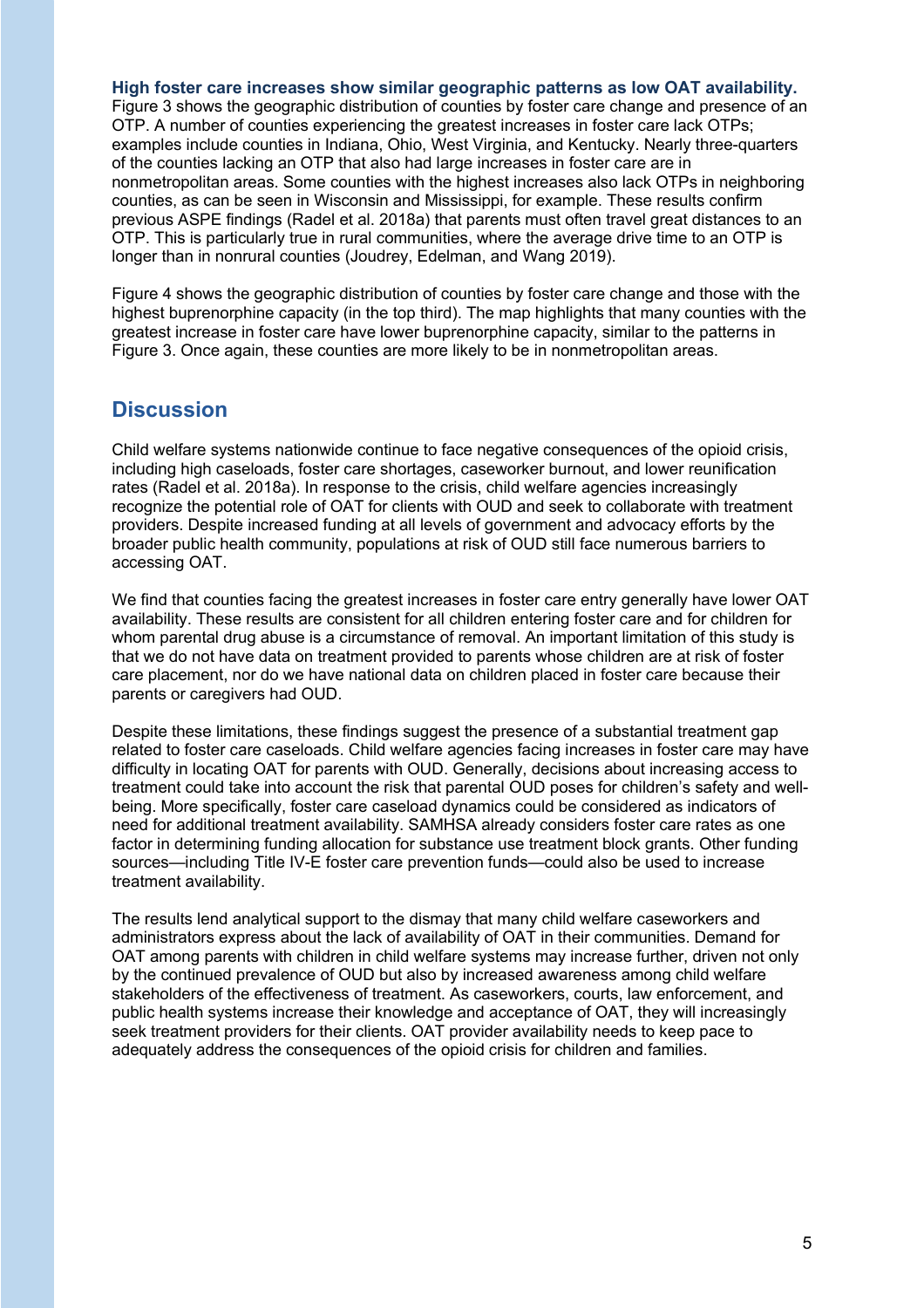#### **High foster care increases show similar geographic patterns as low OAT availability.**

Figure 3 shows the geographic distribution of counties by foster care change and presence of an OTP. A number of counties experiencing the greatest increases in foster care lack OTPs; examples include counties in Indiana, Ohio, West Virginia, and Kentucky. Nearly three-quarters of the counties lacking an OTP that also had large increases in foster care are in nonmetropolitan areas. Some counties with the highest increases also lack OTPs in neighboring counties, as can be seen in Wisconsin and Mississippi, for example. These results confirm previous ASPE findings (Radel et al. 2018a) that parents must often travel great distances to an OTP. This is particularly true in rural communities, where the average drive time to an OTP is longer than in nonrural counties (Joudrey, Edelman, and Wang 2019).

Figure 4 shows the geographic distribution of counties by foster care change and those with the highest buprenorphine capacity (in the top third). The map highlights that many counties with the greatest increase in foster care have lower buprenorphine capacity, similar to the patterns in Figure 3. Once again, these counties are more likely to be in nonmetropolitan areas.

### **Discussion**

Child welfare systems nationwide continue to face negative consequences of the opioid crisis, including high caseloads, foster care shortages, caseworker burnout, and lower reunification rates (Radel et al. 2018a). In response to the crisis, child welfare agencies increasingly recognize the potential role of OAT for clients with OUD and seek to collaborate with treatment providers. Despite increased funding at all levels of government and advocacy efforts by the broader public health community, populations at risk of OUD still face numerous barriers to accessing OAT.

We find that counties facing the greatest increases in foster care entry generally have lower OAT availability. These results are consistent for all children entering foster care and for children for whom parental drug abuse is a circumstance of removal. An important limitation of this study is that we do not have data on treatment provided to parents whose children are at risk of foster care placement, nor do we have national data on children placed in foster care because their parents or caregivers had OUD.

Despite these limitations, these findings suggest the presence of a substantial treatment gap related to foster care caseloads. Child welfare agencies facing increases in foster care may have difficulty in locating OAT for parents with OUD. Generally, decisions about increasing access to treatment could take into account the risk that parental OUD poses for children's safety and wellbeing. More specifically, foster care caseload dynamics could be considered as indicators of need for additional treatment availability. SAMHSA already considers foster care rates as one factor in determining funding allocation for substance use treatment block grants. Other funding sources—including Title IV-E foster care prevention funds—could also be used to increase treatment availability.

The results lend analytical support to the dismay that many child welfare caseworkers and administrators express about the lack of availability of OAT in their communities. Demand for OAT among parents with children in child welfare systems may increase further, driven not only by the continued prevalence of OUD but also by increased awareness among child welfare stakeholders of the effectiveness of treatment. As caseworkers, courts, law enforcement, and public health systems increase their knowledge and acceptance of OAT, they will increasingly seek treatment providers for their clients. OAT provider availability needs to keep pace to adequately address the consequences of the opioid crisis for children and families.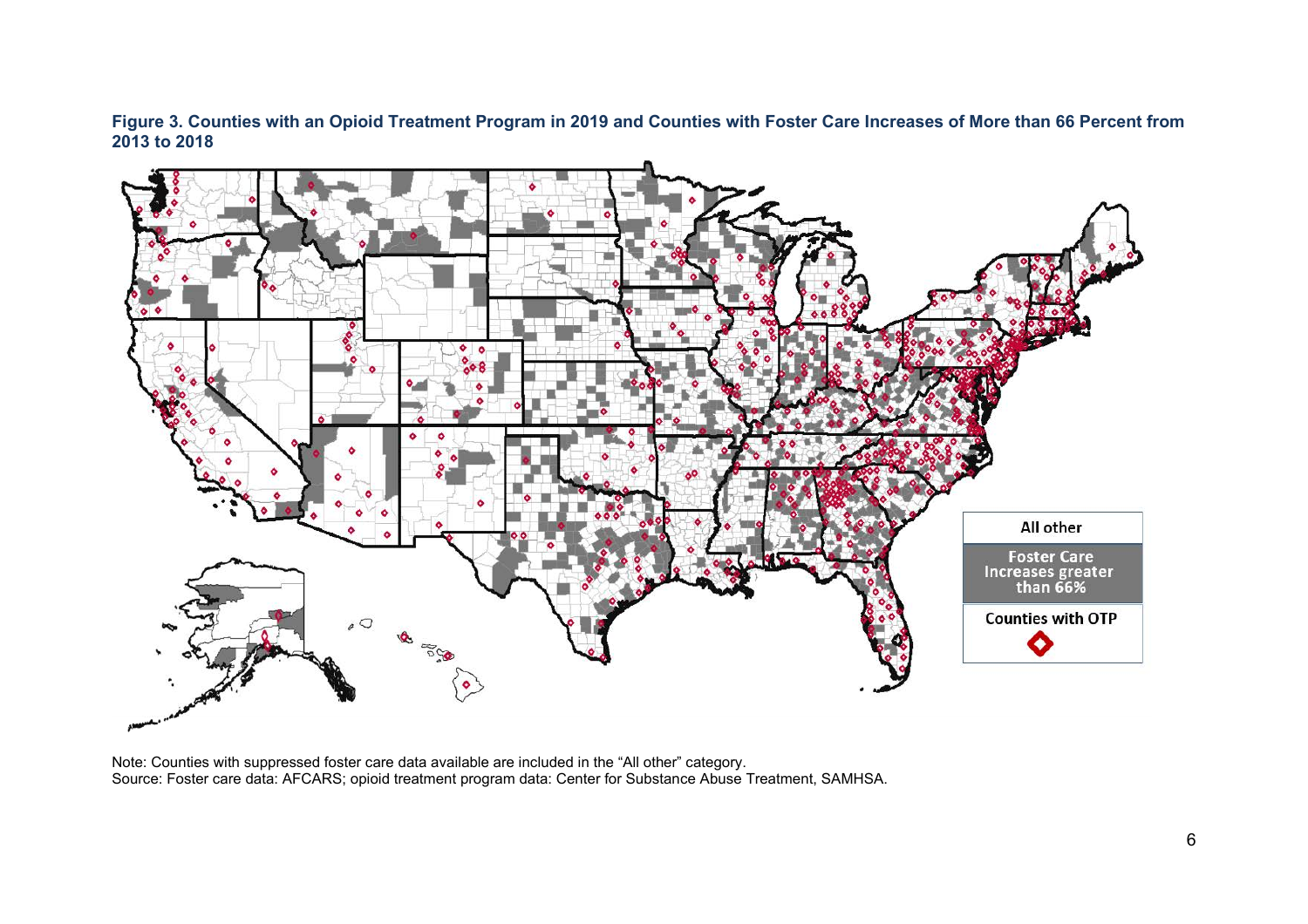**Figure 3. Counties with an Opioid Treatment Program in 2019 and Counties with Foster Care Increases of More than 66 Percent from 2013 to 2018**



Note: Counties with suppressed foster care data available are included in the "All other" category. Source: Foster care data: AFCARS; opioid treatment program data: Center for Substance Abuse Treatment, SAMHSA.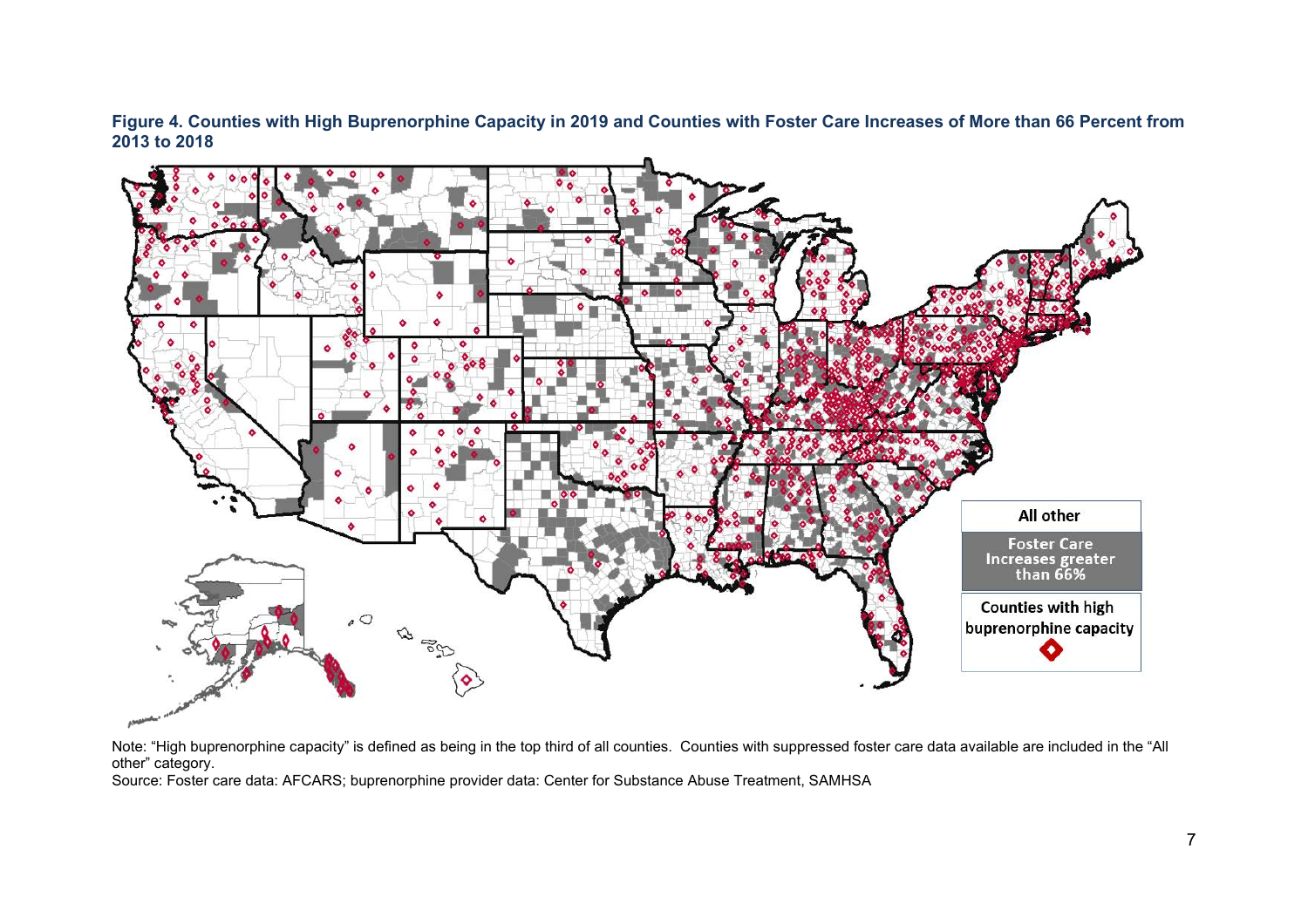**Figure 4. Counties with High Buprenorphine Capacity in 2019 and Counties with Foster Care Increases of More than 66 Percent from 2013 to 2018**



Note: "High buprenorphine capacity" is defined as being in the top third of all counties. Counties with suppressed foster care data available are included in the "All other" category.

Source: Foster care data: AFCARS; buprenorphine provider data: Center for Substance Abuse Treatment, SAMHSA